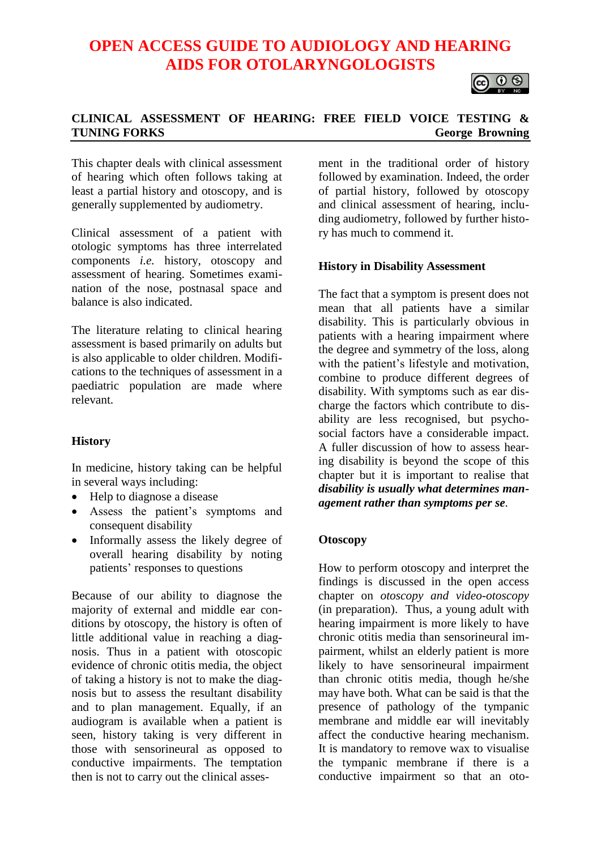# **OPEN ACCESS GUIDE TO AUDIOLOGY AND HEARING AIDS FOR OTOLARYNGOLOGISTS**



# **CLINICAL ASSESSMENT OF HEARING: FREE FIELD VOICE TESTING & TUNING FORKS George Browning**

This chapter deals with clinical assessment of hearing which often follows taking at least a partial history and otoscopy, and is generally supplemented by audiometry.

Clinical assessment of a patient with otologic symptoms has three interrelated components *i.e.* history, otoscopy and assessment of hearing. Sometimes examination of the nose, postnasal space and balance is also indicated.

The literature relating to clinical hearing assessment is based primarily on adults but is also applicable to older children. Modifications to the techniques of assessment in a paediatric population are made where relevant.

# **History**

In medicine, history taking can be helpful in several ways including:

- Help to diagnose a disease
- Assess the patient's symptoms and consequent disability
- Informally assess the likely degree of overall hearing disability by noting patients' responses to questions

Because of our ability to diagnose the majority of external and middle ear conditions by otoscopy, the history is often of little additional value in reaching a diagnosis. Thus in a patient with otoscopic evidence of chronic otitis media, the object of taking a history is not to make the diagnosis but to assess the resultant disability and to plan management. Equally, if an audiogram is available when a patient is seen, history taking is very different in those with sensorineural as opposed to conductive impairments. The temptation then is not to carry out the clinical assesment in the traditional order of history followed by examination. Indeed, the order of partial history, followed by otoscopy and clinical assessment of hearing, including audiometry, followed by further history has much to commend it.

## **History in Disability Assessment**

The fact that a symptom is present does not mean that all patients have a similar disability. This is particularly obvious in patients with a hearing impairment where the degree and symmetry of the loss, along with the patient's lifestyle and motivation, combine to produce different degrees of disability. With symptoms such as ear discharge the factors which contribute to disability are less recognised, but psychosocial factors have a considerable impact. A fuller discussion of how to assess hearing disability is beyond the scope of this chapter but it is important to realise that *disability is usually what determines management rather than symptoms per se.*

#### **Otoscopy**

How to perform otoscopy and interpret the findings is discussed in the open access chapter on *otoscopy and video-otoscopy* (in preparation). Thus, a young adult with hearing impairment is more likely to have chronic otitis media than sensorineural impairment, whilst an elderly patient is more likely to have sensorineural impairment than chronic otitis media, though he/she may have both. What can be said is that the presence of pathology of the tympanic membrane and middle ear will inevitably affect the conductive hearing mechanism. It is mandatory to remove wax to visualise the tympanic membrane if there is a conductive impairment so that an oto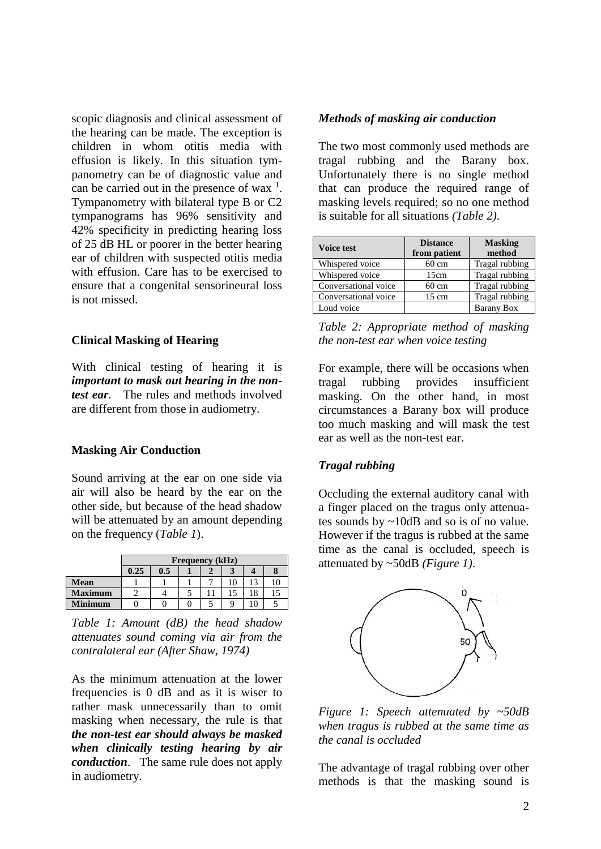scopic diagnosis and clinical assessment of the hearing can be made. The exception is children in whom otitis media with effusion is likely. In this situation tympanometry can be of diagnostic value and can be carried out in the presence of wax  $\frac{1}{1}$ . Tympanometry with bilateral type B or C2 tympanograms has 96% sensitivity and 42% specificity in predicting hearing loss of 25 dB HL or poorer in the better hearing ear of children with suspected otitis media with effusion. Care has to be exercised to ensure that a congenital sensorineural loss is not missed.

## **Clinical Masking of Hearing**

With clinical testing of hearing it is *important to mask out hearing in the nontest ear*. The rules and methods involved are different from those in audiometry.

#### **Masking Air Conduction**

Sound arriving at the ear on one side via air will also be heard by the ear on the other side, but because of the head shadow will be attenuated by an amount depending on the frequency (*Table 1*).

|                | <b>Frequency</b> (kHz) |     |  |  |    |    |  |
|----------------|------------------------|-----|--|--|----|----|--|
|                | 0.25                   | 0.5 |  |  | 3  |    |  |
| <b>Mean</b>    |                        |     |  |  | 10 |    |  |
| <b>Maximum</b> |                        |     |  |  | 15 | 18 |  |
| <b>Minimum</b> |                        |     |  |  | q  |    |  |

*Table 1: Amount (dB) the head shadow attenuates sound coming via air from the contralateral ear (After Shaw, 1974)*

As the minimum attenuation at the lower frequencies is 0 dB and as it is wiser to rather mask unnecessarily than to omit masking when necessary, the rule is that *the non-test ear should always be masked when clinically testing hearing by air conduction*. The same rule does not apply in audiometry.

## *Methods of masking air conduction*

The two most commonly used methods are tragal rubbing and the Barany box. Unfortunately there is no single method that can produce the required range of masking levels required; so no one method is suitable for all situations *(Table 2)*.

| <b>Voice test</b>    | <b>Distance</b><br>from patient | <b>Masking</b><br>method |  |  |
|----------------------|---------------------------------|--------------------------|--|--|
| Whispered voice      | $60 \text{ cm}$                 | Tragal rubbing           |  |  |
| Whispered voice      | 15cm                            | Tragal rubbing           |  |  |
| Conversational voice | $60 \text{ cm}$                 | Tragal rubbing           |  |  |
| Conversational voice | $15 \text{ cm}$                 | Tragal rubbing           |  |  |
| Loud voice           |                                 | Barany Box               |  |  |

*Table 2: Appropriate method of masking the non-test ear when voice testing*

For example, there will be occasions when tragal rubbing provides insufficient masking. On the other hand, in most circumstances a Barany box will produce too much masking and will mask the test ear as well as the non-test ear.

# *Tragal rubbing*

Occluding the external auditory canal with a finger placed on the tragus only attenuates sounds by ~10dB and so is of no value. However if the tragus is rubbed at the same time as the canal is occluded, speech is attenuated by ~50dB *(Figure 1)*.



*Figure 1: Speech attenuated by ~50dB when tragus is rubbed at the same time as the canal is occluded*

The advantage of tragal rubbing over other methods is that the masking sound is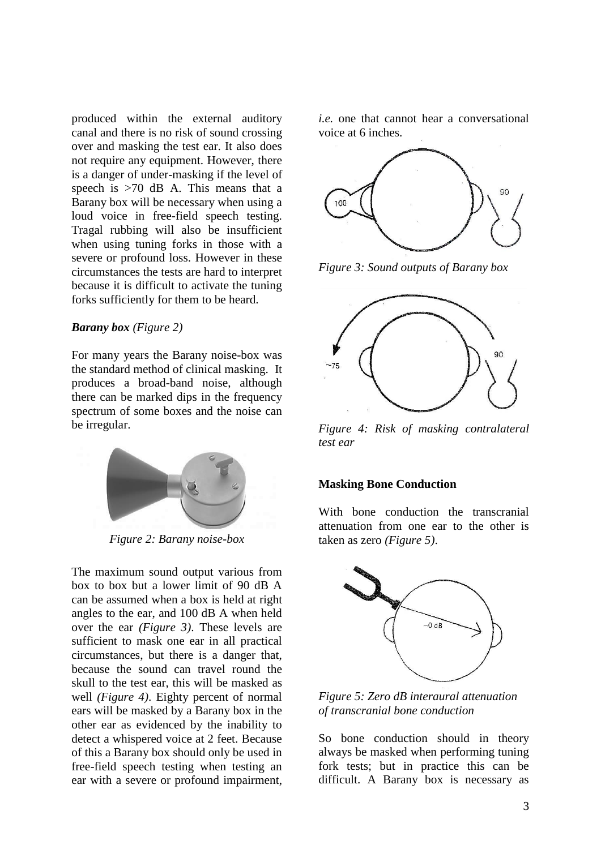produced within the external auditory canal and there is no risk of sound crossing over and masking the test ear. It also does not require any equipment. However, there is a danger of under-masking if the level of speech is  $>70$  dB A. This means that a Barany box will be necessary when using a loud voice in free-field speech testing. Tragal rubbing will also be insufficient when using tuning forks in those with a severe or profound loss. However in these circumstances the tests are hard to interpret because it is difficult to activate the tuning forks sufficiently for them to be heard.

#### *Barany box (Figure 2)*

For many years the Barany noise-box was the standard method of clinical masking. It produces a broad-band noise, although there can be marked dips in the frequency spectrum of some boxes and the noise can be irregular.



*Figure 2: Barany noise-box*

The maximum sound output various from box to box but a lower limit of 90 dB A can be assumed when a box is held at right angles to the ear, and 100 dB A when held over the ear *(Figure 3)*. These levels are sufficient to mask one ear in all practical circumstances, but there is a danger that, because the sound can travel round the skull to the test ear, this will be masked as well *(Figure 4)*. Eighty percent of normal ears will be masked by a Barany box in the other ear as evidenced by the inability to detect a whispered voice at 2 feet. Because of this a Barany box should only be used in free-field speech testing when testing an ear with a severe or profound impairment,

*i.e.* one that cannot hear a conversational voice at 6 inches.



*Figure 3: Sound outputs of Barany box* 



*Figure 4: Risk of masking contralateral test ear*

#### **Masking Bone Conduction**

With bone conduction the transcranial attenuation from one ear to the other is taken as zero *(Figure 5)*.

![](_page_2_Figure_13.jpeg)

*Figure 5: Zero dB interaural attenuation of transcranial bone conduction*

So bone conduction should in theory always be masked when performing tuning fork tests; but in practice this can be difficult. A Barany box is necessary as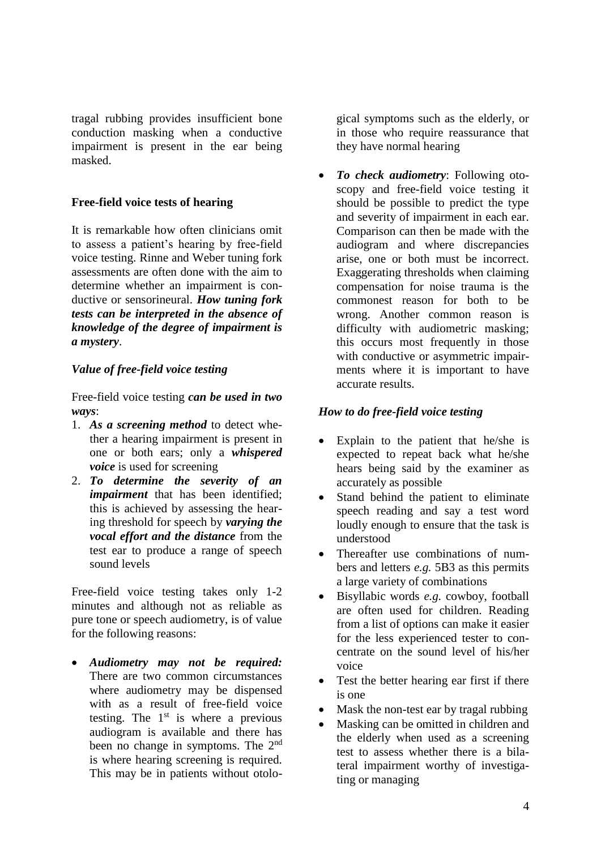tragal rubbing provides insufficient bone conduction masking when a conductive impairment is present in the ear being masked.

## **Free-field voice tests of hearing**

It is remarkable how often clinicians omit to assess a patient's hearing by free-field voice testing. Rinne and Weber tuning fork assessments are often done with the aim to determine whether an impairment is conductive or sensorineural. *How tuning fork tests can be interpreted in the absence of knowledge of the degree of impairment is a mystery*.

## *Value of free-field voice testing*

Free-field voice testing *can be used in two ways*:

- 1. *As a screening method* to detect whether a hearing impairment is present in one or both ears; only a *whispered voice* is used for screening
- 2. *To determine the severity of an impairment* that has been identified; this is achieved by assessing the hearing threshold for speech by *varying the vocal effort and the distance* from the test ear to produce a range of speech sound levels

Free-field voice testing takes only 1-2 minutes and although not as reliable as pure tone or speech audiometry, is of value for the following reasons:

• *Audiometry may not be required:* There are two common circumstances where audiometry may be dispensed with as a result of free-field voice testing. The  $1<sup>st</sup>$  is where a previous audiogram is available and there has been no change in symptoms. The 2<sup>nd</sup> is where hearing screening is required. This may be in patients without otological symptoms such as the elderly, or in those who require reassurance that they have normal hearing

• *To check audiometry*: Following otoscopy and free-field voice testing it should be possible to predict the type and severity of impairment in each ear. Comparison can then be made with the audiogram and where discrepancies arise, one or both must be incorrect. Exaggerating thresholds when claiming compensation for noise trauma is the commonest reason for both to be wrong. Another common reason is difficulty with audiometric masking; this occurs most frequently in those with conductive or asymmetric impairments where it is important to have accurate results.

## *How to do free-field voice testing*

- Explain to the patient that he/she is expected to repeat back what he/she hears being said by the examiner as accurately as possible
- Stand behind the patient to eliminate speech reading and say a test word loudly enough to ensure that the task is understood
- Thereafter use combinations of numbers and letters *e.g.* 5B3 as this permits a large variety of combinations
- Bisyllabic words *e.g.* cowboy, football are often used for children. Reading from a list of options can make it easier for the less experienced tester to concentrate on the sound level of his/her voice
- Test the better hearing ear first if there is one
- Mask the non-test ear by tragal rubbing
- Masking can be omitted in children and the elderly when used as a screening test to assess whether there is a bilateral impairment worthy of investigating or managing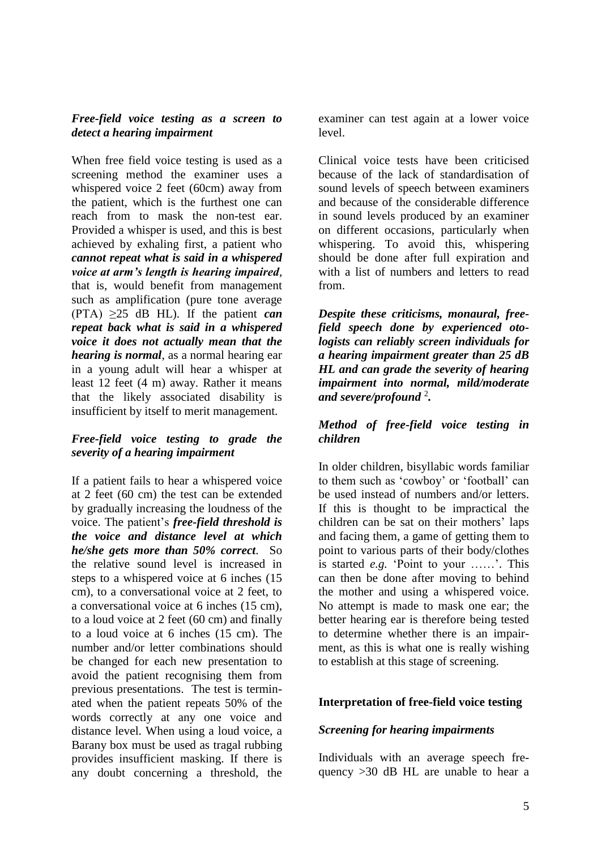## *Free-field voice testing as a screen to detect a hearing impairment*

When free field voice testing is used as a screening method the examiner uses a whispered voice 2 feet (60cm) away from the patient, which is the furthest one can reach from to mask the non-test ear. Provided a whisper is used, and this is best achieved by exhaling first, a patient who *cannot repeat what is said in a whispered voice at arm's length is hearing impaired*, that is, would benefit from management such as amplification (pure tone average (PTA)  $\geq$ 25 dB HL). If the patient *can repeat back what is said in a whispered voice it does not actually mean that the hearing is normal*, as a normal hearing ear in a young adult will hear a whisper at least 12 feet (4 m) away. Rather it means that the likely associated disability is insufficient by itself to merit management.

# *Free-field voice testing to grade the severity of a hearing impairment*

If a patient fails to hear a whispered voice at 2 feet (60 cm) the test can be extended by gradually increasing the loudness of the voice. The patient's *free-field threshold is the voice and distance level at which he/she gets more than 50% correct*. So the relative sound level is increased in steps to a whispered voice at 6 inches (15 cm), to a conversational voice at 2 feet, to a conversational voice at 6 inches (15 cm), to a loud voice at 2 feet (60 cm) and finally to a loud voice at 6 inches (15 cm). The number and/or letter combinations should be changed for each new presentation to avoid the patient recognising them from previous presentations. The test is terminated when the patient repeats 50% of the words correctly at any one voice and distance level. When using a loud voice, a Barany box must be used as tragal rubbing provides insufficient masking. If there is any doubt concerning a threshold, the

examiner can test again at a lower voice level.

Clinical voice tests have been criticised because of the lack of standardisation of sound levels of speech between examiners and because of the considerable difference in sound levels produced by an examiner on different occasions, particularly when whispering. To avoid this, whispering should be done after full expiration and with a list of numbers and letters to read from.

*Despite these criticisms, monaural, freefield speech done by experienced otologists can reliably screen individuals for a hearing impairment greater than 25 dB HL and can grade the severity of hearing impairment into normal, mild/moderate and severe/profound* <sup>2</sup> *.*

# *Method of free-field voice testing in children*

In older children, bisyllabic words familiar to them such as 'cowboy' or 'football' can be used instead of numbers and/or letters. If this is thought to be impractical the children can be sat on their mothers' laps and facing them, a game of getting them to point to various parts of their body/clothes is started *e.g.* 'Point to your ……'. This can then be done after moving to behind the mother and using a whispered voice. No attempt is made to mask one ear; the better hearing ear is therefore being tested to determine whether there is an impairment, as this is what one is really wishing to establish at this stage of screening.

# **Interpretation of free-field voice testing**

# *Screening for hearing impairments*

Individuals with an average speech frequency >30 dB HL are unable to hear a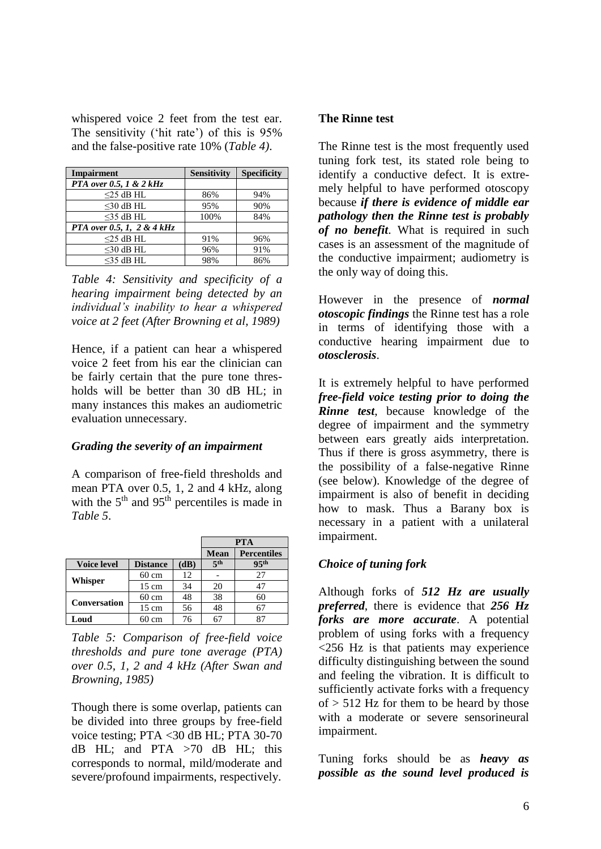whispered voice 2 feet from the test ear. The sensitivity ('hit rate') of this is 95% and the false-positive rate 10% (*Table 4)*.

| <b>Impairment</b>                   | <b>Sensitivity</b> | <b>Specificity</b> |  |
|-------------------------------------|--------------------|--------------------|--|
| PTA over 0.5, 1 & $2 kHz$           |                    |                    |  |
| $<$ 25 dB HL                        | 86%                | 94%                |  |
| $<$ 30 dB HL                        | 95%                | 90%                |  |
| $<$ 35 dB HL                        | 100%               | 84%                |  |
| <b>PTA</b> over 0.5, 1, 2 & $4 kHz$ |                    |                    |  |
| $<$ 25 dB HL                        | 91%                | 96%                |  |
| $<$ 30 dB HL                        | 96%                | 91%                |  |
| $<$ 35 dB HL                        | 98%                | 86%                |  |

*Table 4: Sensitivity and specificity of a hearing impairment being detected by an individual's inability to hear a whispered voice at 2 feet (After Browning et al, 1989)*

Hence, if a patient can hear a whispered voice 2 feet from his ear the clinician can be fairly certain that the pure tone thresholds will be better than 30 dB HL; in many instances this makes an audiometric evaluation unnecessary.

#### *Grading the severity of an impairment*

A comparison of free-field thresholds and mean PTA over 0.5, 1, 2 and 4 kHz, along with the  $5<sup>th</sup>$  and  $95<sup>th</sup>$  percentiles is made in *Table 5*.

|                     |                 |      | <b>PTA</b>      |                    |  |
|---------------------|-----------------|------|-----------------|--------------------|--|
|                     |                 |      | <b>Mean</b>     | <b>Percentiles</b> |  |
| <b>Voice level</b>  | <b>Distance</b> | (dB) | 5 <sup>th</sup> | 95 <sup>th</sup>   |  |
|                     | $60 \text{ cm}$ | 12   |                 | 27                 |  |
| Whisper             | $15 \text{ cm}$ | 34   | 20              | 47                 |  |
| <b>Conversation</b> | $60 \text{ cm}$ | 48   | 38              | 60                 |  |
|                     | $15 \text{ cm}$ | 56   | 48              |                    |  |
| Loud                | 60 cm           | 76   | 67              |                    |  |

*Table 5: Comparison of free-field voice thresholds and pure tone average (PTA) over 0.5, 1, 2 and 4 kHz (After Swan and Browning, 1985)*

Though there is some overlap, patients can be divided into three groups by free-field voice testing; PTA <30 dB HL; PTA 30-70 dB HL; and PTA  $>70$  dB HL; this corresponds to normal, mild/moderate and severe/profound impairments, respectively.

## **The Rinne test**

The Rinne test is the most frequently used tuning fork test, its stated role being to identify a conductive defect. It is extremely helpful to have performed otoscopy because *if there is evidence of middle ear pathology then the Rinne test is probably of no benefit*. What is required in such cases is an assessment of the magnitude of the conductive impairment; audiometry is the only way of doing this.

However in the presence of *normal otoscopic findings* the Rinne test has a role in terms of identifying those with a conductive hearing impairment due to *otosclerosis*.

It is extremely helpful to have performed *free-field voice testing prior to doing the Rinne test*, because knowledge of the degree of impairment and the symmetry between ears greatly aids interpretation. Thus if there is gross asymmetry, there is the possibility of a false-negative Rinne (see below). Knowledge of the degree of impairment is also of benefit in deciding how to mask. Thus a Barany box is necessary in a patient with a unilateral impairment.

# *Choice of tuning fork*

Although forks of *512 Hz are usually preferred*, there is evidence that *256 Hz forks are more accurate*. A potential problem of using forks with a frequency <256 Hz is that patients may experience difficulty distinguishing between the sound and feeling the vibration. It is difficult to sufficiently activate forks with a frequency  $of > 512$  Hz for them to be heard by those with a moderate or severe sensorineural impairment.

Tuning forks should be as *heavy as possible as the sound level produced is*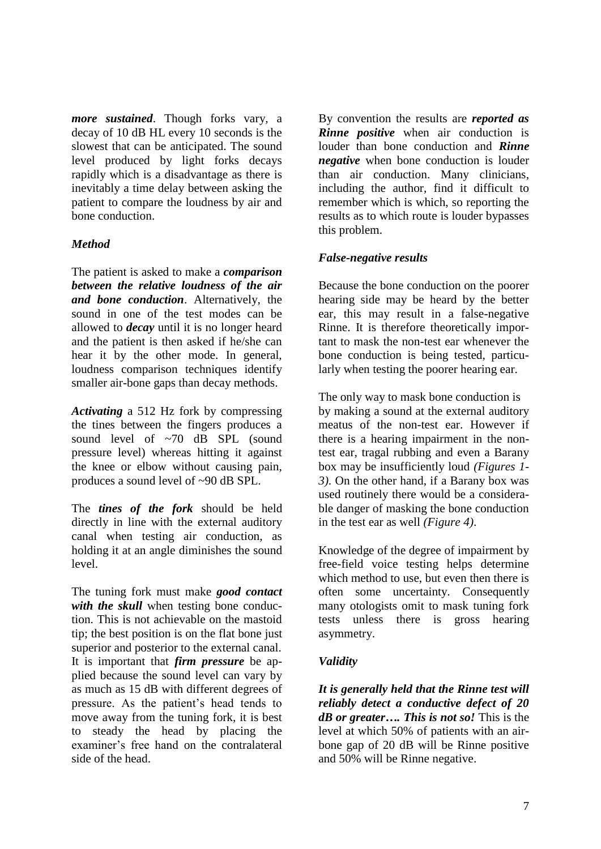*more sustained*. Though forks vary, a decay of 10 dB HL every 10 seconds is the slowest that can be anticipated. The sound level produced by light forks decays rapidly which is a disadvantage as there is inevitably a time delay between asking the patient to compare the loudness by air and bone conduction.

## *Method*

The patient is asked to make a *comparison between the relative loudness of the air and bone conduction*. Alternatively, the sound in one of the test modes can be allowed to *decay* until it is no longer heard and the patient is then asked if he/she can hear it by the other mode. In general, loudness comparison techniques identify smaller air-bone gaps than decay methods.

*Activating* a 512 Hz fork by compressing the tines between the fingers produces a sound level of ~70 dB SPL (sound pressure level) whereas hitting it against the knee or elbow without causing pain, produces a sound level of ~90 dB SPL.

The *tines of the fork* should be held directly in line with the external auditory canal when testing air conduction, as holding it at an angle diminishes the sound level.

The tuning fork must make *good contact with the skull* when testing bone conduction. This is not achievable on the mastoid tip; the best position is on the flat bone just superior and posterior to the external canal. It is important that *firm pressure* be applied because the sound level can vary by as much as 15 dB with different degrees of pressure. As the patient's head tends to move away from the tuning fork, it is best to steady the head by placing the examiner's free hand on the contralateral side of the head.

By convention the results are *reported as Rinne positive* when air conduction is louder than bone conduction and *Rinne negative* when bone conduction is louder than air conduction. Many clinicians, including the author, find it difficult to remember which is which, so reporting the results as to which route is louder bypasses this problem.

# *False-negative results*

Because the bone conduction on the poorer hearing side may be heard by the better ear, this may result in a false-negative Rinne. It is therefore theoretically important to mask the non-test ear whenever the bone conduction is being tested, particularly when testing the poorer hearing ear.

The only way to mask bone conduction is by making a sound at the external auditory meatus of the non-test ear. However if there is a hearing impairment in the nontest ear, tragal rubbing and even a Barany box may be insufficiently loud *(Figures 1- 3)*. On the other hand, if a Barany box was used routinely there would be a considerable danger of masking the bone conduction in the test ear as well *(Figure 4)*.

Knowledge of the degree of impairment by free-field voice testing helps determine which method to use, but even then there is often some uncertainty. Consequently many otologists omit to mask tuning fork tests unless there is gross hearing asymmetry.

# *Validity*

*It is generally held that the Rinne test will reliably detect a conductive defect of 20 dB or greater…. This is not so!* This is the level at which 50% of patients with an airbone gap of 20 dB will be Rinne positive and 50% will be Rinne negative.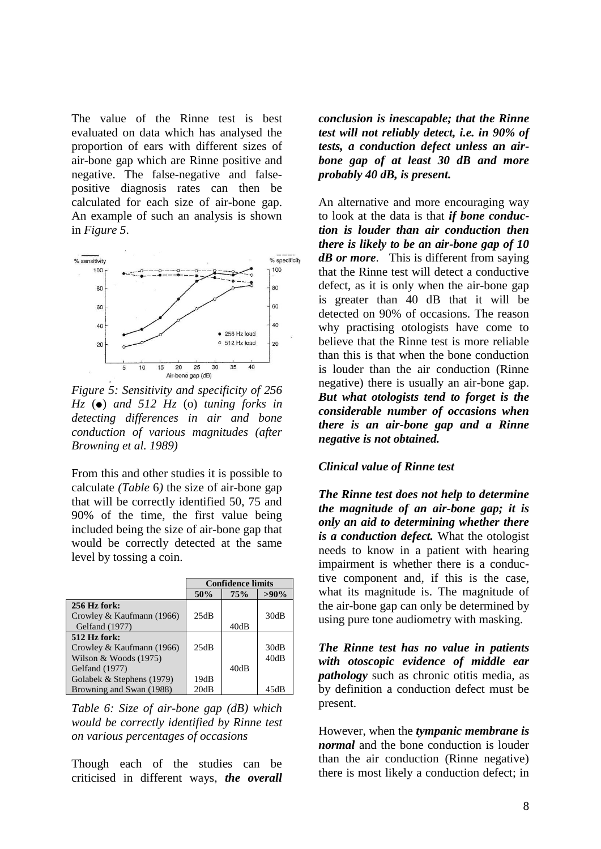The value of the Rinne test is best evaluated on data which has analysed the proportion of ears with different sizes of air-bone gap which are Rinne positive and negative. The false-negative and falsepositive diagnosis rates can then be calculated for each size of air-bone gap. An example of such an analysis is shown in *Figure 5*.

![](_page_7_Figure_1.jpeg)

*Figure 5: Sensitivity and specificity of 256*   $Hz$  ( $\bullet$ ) *and 512 Hz* ( $o$ ) *tuning forks in detecting differences in air and bone conduction of various magnitudes (after Browning et al. 1989)* 

From this and other studies it is possible to calculate *(Table* 6*)* the size of air-bone gap that will be correctly identified 50, 75 and 90% of the time, the first value being included being the size of air-bone gap that would be correctly detected at the same level by tossing a coin.

|                           | <b>Confidence limits</b> |      |         |
|---------------------------|--------------------------|------|---------|
|                           | 50%                      | 75%  | $>90\%$ |
| 256 Hz fork:              |                          |      |         |
| Crowley & Kaufmann (1966) | 25dB                     |      | 30dB    |
| Gelfand (1977)            |                          | 40dB |         |
| 512 Hz fork:              |                          |      |         |
| Crowley & Kaufmann (1966) | 25dB                     |      | 30dB    |
| Wilson & Woods $(1975)$   |                          |      | 40dB    |
| Gelfand (1977)            |                          | 40dB |         |
| Golabek & Stephens (1979) | 19dB                     |      |         |
| Browning and Swan (1988)  | 20dB                     |      |         |

*Table 6: Size of air-bone gap (dB) which would be correctly identified by Rinne test on various percentages of occasions*

Though each of the studies can be criticised in different ways, *the overall*

*conclusion is inescapable; that the Rinne test will not reliably detect, i.e. in 90% of tests, a conduction defect unless an airbone gap of at least 30 dB and more probably 40 dB, is present.*

An alternative and more encouraging way to look at the data is that *if bone conduction is louder than air conduction then there is likely to be an air-bone gap of 10 dB or more*. This is different from saying that the Rinne test will detect a conductive defect, as it is only when the air-bone gap is greater than 40 dB that it will be detected on 90% of occasions. The reason why practising otologists have come to believe that the Rinne test is more reliable than this is that when the bone conduction is louder than the air conduction (Rinne negative) there is usually an air-bone gap. *But what otologists tend to forget is the considerable number of occasions when there is an air-bone gap and a Rinne negative is not obtained.*

#### *Clinical value of Rinne test*

*The Rinne test does not help to determine the magnitude of an air-bone gap; it is only an aid to determining whether there is a conduction defect.* What the otologist needs to know in a patient with hearing impairment is whether there is a conductive component and, if this is the case, what its magnitude is. The magnitude of the air-bone gap can only be determined by using pure tone audiometry with masking.

*The Rinne test has no value in patients with otoscopic evidence of middle ear pathology* such as chronic otitis media, as by definition a conduction defect must be present.

However, when the *tympanic membrane is normal* and the bone conduction is louder than the air conduction (Rinne negative) there is most likely a conduction defect; in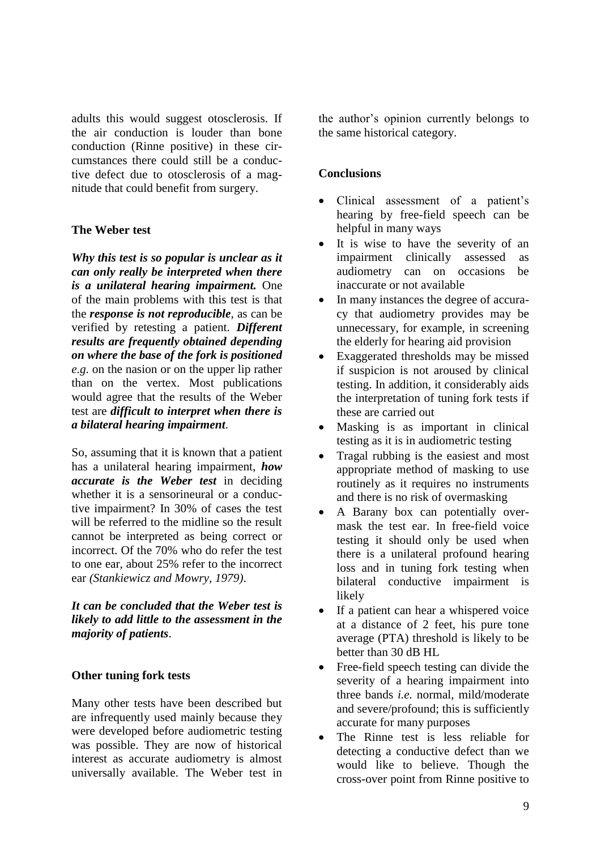adults this would suggest otosclerosis. If the air conduction is louder than bone conduction (Rinne positive) in these circumstances there could still be a conductive defect due to otosclerosis of a magnitude that could benefit from surgery.

## **The Weber test**

*Why this test is so popular is unclear as it can only really be interpreted when there is a unilateral hearing impairment.* One of the main problems with this test is that the *response is not reproducible*, as can be verified by retesting a patient. *Different results are frequently obtained depending on where the base of the fork is positioned e.g.* on the nasion or on the upper lip rather than on the vertex. Most publications would agree that the results of the Weber test are *difficult to interpret when there is a bilateral hearing impairment*.

So, assuming that it is known that a patient has a unilateral hearing impairment, *how accurate is the Weber test* in deciding whether it is a sensorineural or a conductive impairment? In 30% of cases the test will be referred to the midline so the result cannot be interpreted as being correct or incorrect. Of the 70% who do refer the test to one ear, about 25% refer to the incorrect ear *(Stankiewicz and Mowry, 1979)*.

*It can be concluded that the Weber test is likely to add little to the assessment in the majority of patients*.

#### **Other tuning fork tests**

Many other tests have been described but are infrequently used mainly because they were developed before audiometric testing was possible. They are now of historical interest as accurate audiometry is almost universally available. The Weber test in

the author's opinion currently belongs to the same historical category.

#### **Conclusions**

- Clinical assessment of a patient's hearing by free-field speech can be helpful in many ways
- It is wise to have the severity of an impairment clinically assessed as audiometry can on occasions be inaccurate or not available
- In many instances the degree of accuracy that audiometry provides may be unnecessary, for example, in screening the elderly for hearing aid provision
- Exaggerated thresholds may be missed if suspicion is not aroused by clinical testing. In addition, it considerably aids the interpretation of tuning fork tests if these are carried out
- Masking is as important in clinical testing as it is in audiometric testing
- Tragal rubbing is the easiest and most appropriate method of masking to use routinely as it requires no instruments and there is no risk of overmasking
- A Barany box can potentially overmask the test ear. In free-field voice testing it should only be used when there is a unilateral profound hearing loss and in tuning fork testing when bilateral conductive impairment is likely
- If a patient can hear a whispered voice at a distance of 2 feet, his pure tone average (PTA) threshold is likely to be better than 30 dB HL
- Free-field speech testing can divide the severity of a hearing impairment into three bands *i.e.* normal, mild/moderate and severe/profound; this is sufficiently accurate for many purposes
- The Rinne test is less reliable for detecting a conductive defect than we would like to believe. Though the cross-over point from Rinne positive to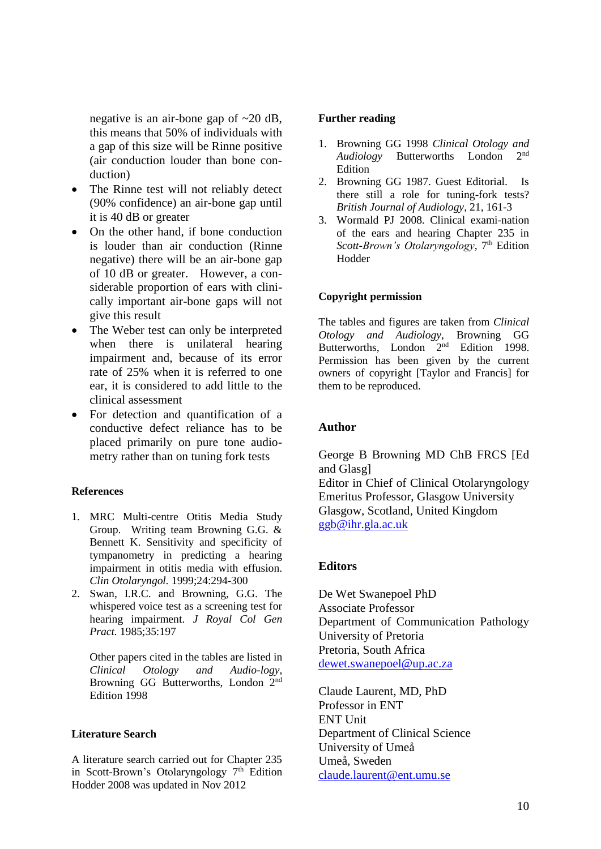negative is an air-bone gap of ~20 dB, this means that 50% of individuals with a gap of this size will be Rinne positive (air conduction louder than bone conduction)

- The Rinne test will not reliably detect (90% confidence) an air-bone gap until it is 40 dB or greater
- On the other hand, if bone conduction is louder than air conduction (Rinne negative) there will be an air-bone gap of 10 dB or greater. However, a considerable proportion of ears with clinically important air-bone gaps will not give this result
- The Weber test can only be interpreted when there is unilateral hearing impairment and, because of its error rate of 25% when it is referred to one ear, it is considered to add little to the clinical assessment
- For detection and quantification of a conductive defect reliance has to be placed primarily on pure tone audiometry rather than on tuning fork tests

#### **References**

- 1. MRC Multi-centre Otitis Media Study Group. Writing team Browning G.G. & Bennett K. Sensitivity and specificity of tympanometry in predicting a hearing impairment in otitis media with effusion. *Clin Otolaryngol.* 1999;24:294-300
- 2. Swan, I.R.C. and Browning, G.G. The whispered voice test as a screening test for hearing impairment. *J Royal Col Gen Pract.* 1985;35:197

Other papers cited in the tables are listed in *Clinical Otology and Audio-logy*, Browning GG Butterworths, London 2nd Edition 1998

#### **Literature Search**

A literature search carried out for Chapter 235 in Scott-Brown's Otolaryngology  $7<sup>th</sup>$  Edition Hodder 2008 was updated in Nov 2012

#### **Further reading**

- 1. Browning GG 1998 *Clinical Otology and Audiology* Butterworths London 2nd Edition
- 2. Browning GG 1987. Guest Editorial. Is there still a role for tuning-fork tests? *British Journal of Audiology*, 21, 161-3
- 3. Wormald PJ 2008. Clinical exami-nation of the ears and hearing Chapter 235 in *Scott-Brown's Otolaryngology*, 7<sup>th</sup> Edition Hodder

#### **Copyright permission**

The tables and figures are taken from *Clinical Otology and Audiology*, Browning GG Butterworths, London 2<sup>nd</sup> Edition 1998. Permission has been given by the current owners of copyright [Taylor and Francis] for them to be reproduced.

#### **Author**

George B Browning MD ChB FRCS [Ed and Glasg] Editor in Chief of Clinical Otolaryngology Emeritus Professor, Glasgow University Glasgow, Scotland, United Kingdom [ggb@ihr.gla.ac.uk](mailto:ggb@ihr.gla.ac.uk)

#### **Editors**

De Wet Swanepoel PhD Associate Professor Department of Communication Pathology University of Pretoria Pretoria, South Africa [dewet.swanepoel@up.ac.za](mailto:dewet.swanepoel@up.ac.za)

Claude Laurent, MD, PhD Professor in ENT ENT Unit Department of Clinical Science University of Umeå Umeå, Sweden [claude.laurent@ent.umu.se](mailto:claude.laurent@ent.umu.se)